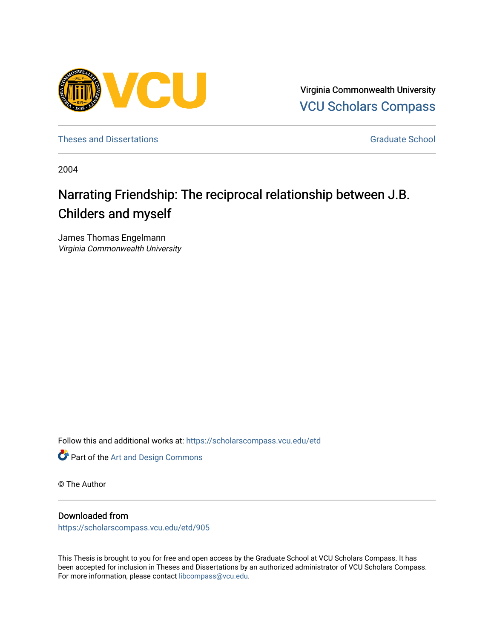

Virginia Commonwealth University [VCU Scholars Compass](https://scholarscompass.vcu.edu/) 

[Theses and Dissertations](https://scholarscompass.vcu.edu/etd) [Graduate School](https://scholarscompass.vcu.edu/gradschool) and Dissertations Graduate School and Dissertations Graduate School and Dissertations Graduate School and Dissertations Graduate School and Dissertations Graduate School and Dissert

2004

# Narrating Friendship: The reciprocal relationship between J.B. Childers and myself

James Thomas Engelmann Virginia Commonwealth University

Follow this and additional works at: [https://scholarscompass.vcu.edu/etd](https://scholarscompass.vcu.edu/etd?utm_source=scholarscompass.vcu.edu%2Fetd%2F905&utm_medium=PDF&utm_campaign=PDFCoverPages) 



© The Author

### Downloaded from

[https://scholarscompass.vcu.edu/etd/905](https://scholarscompass.vcu.edu/etd/905?utm_source=scholarscompass.vcu.edu%2Fetd%2F905&utm_medium=PDF&utm_campaign=PDFCoverPages) 

This Thesis is brought to you for free and open access by the Graduate School at VCU Scholars Compass. It has been accepted for inclusion in Theses and Dissertations by an authorized administrator of VCU Scholars Compass. For more information, please contact [libcompass@vcu.edu](mailto:libcompass@vcu.edu).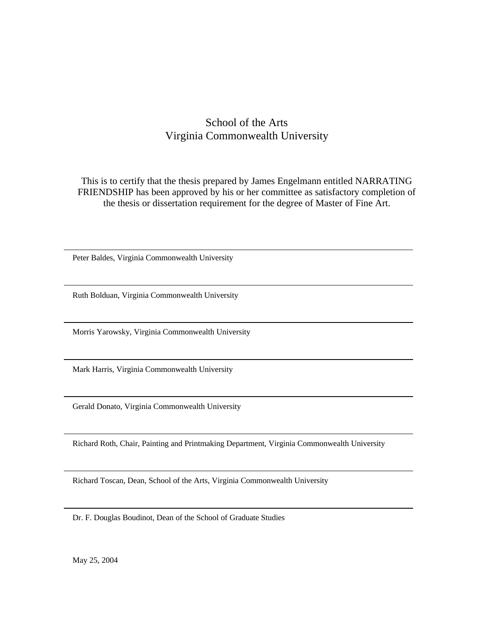### School of the Arts Virginia Commonwealth University

This is to certify that the thesis prepared by James Engelmann entitled NARRATING FRIENDSHIP has been approved by his or her committee as satisfactory completion of the thesis or dissertation requirement for the degree of Master of Fine Art.

Peter Baldes, Virginia Commonwealth University

Ruth Bolduan, Virginia Commonwealth University

Morris Yarowsky, Virginia Commonwealth University

Mark Harris, Virginia Commonwealth University

Gerald Donato, Virginia Commonwealth University

Richard Roth, Chair, Painting and Printmaking Department, Virginia Commonwealth University

Richard Toscan, Dean, School of the Arts, Virginia Commonwealth University

Dr. F. Douglas Boudinot, Dean of the School of Graduate Studies

May 25, 2004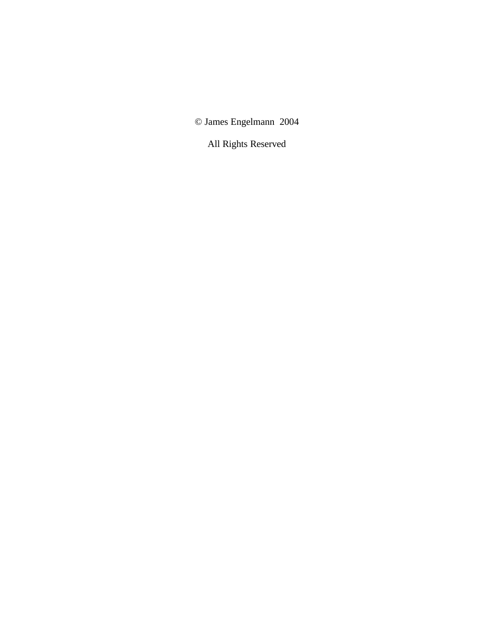© James Engelmann 2004

All Rights Reserved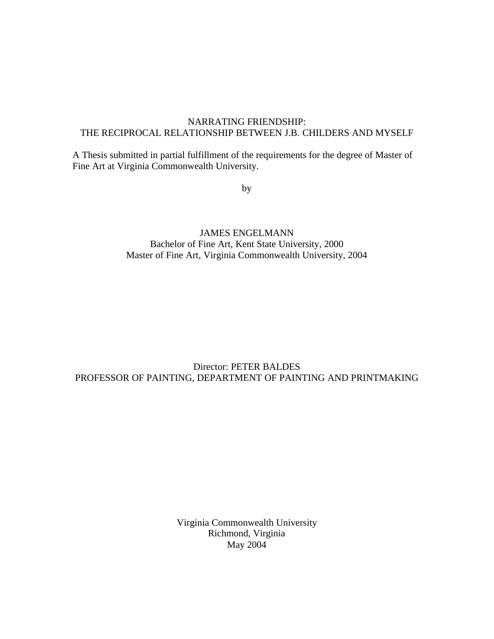### NARRATING FRIENDSHIP: THE RECIPROCAL RELATIONSHIP BETWEEN J.B. CHILDERS AND MYSELF

A Thesis submitted in partial fulfillment of the requirements for the degree of Master of Fine Art at Virginia Commonwealth University.

by

JAMES ENGELMANN Bachelor of Fine Art, Kent State University, 2000 Master of Fine Art, Virginia Commonwealth University, 2004

### Director: PETER BALDES PROFESSOR OF PAINTING, DEPARTMENT OF PAINTING AND PRINTMAKING

Virginia Commonwealth University Richmond, Virginia May 2004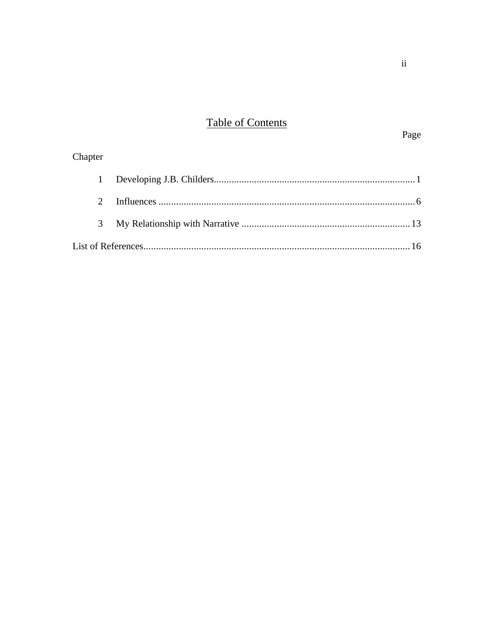# **Table of Contents**

### Page

## Chapter  $\mathbf{1}$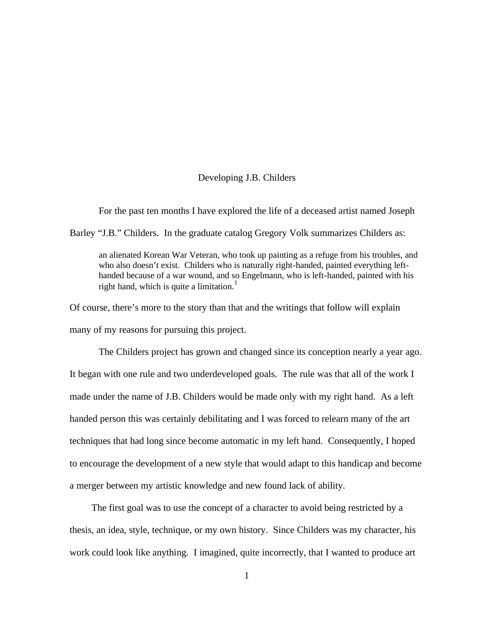### Developing J.B. Childers

For the past ten months I have explored the life of a deceased artist named Joseph

Barley "J.B." Childers. In the graduate catalog Gregory Volk summarizes Childers as:

an alienated Korean War Veteran, who took up painting as a refuge from his troubles, and who also doesn't exist. Childers who is naturally right-handed, painted everything lefthanded because of a war wound, and so Engelmann, who is left-handed, painted with his right hand, which is quite a limitation.<sup>1</sup>

Of course, there's more to the story than that and the writings that follow will explain many of my reasons for pursuing this project.

The Childers project has grown and changed since its conception nearly a year ago. It began with one rule and two underdeveloped goals. The rule was that all of the work I made under the name of J.B. Childers would be made only with my right hand. As a left handed person this was certainly debilitating and I was forced to relearn many of the art techniques that had long since become automatic in my left hand. Consequently, I hoped to encourage the development of a new style that would adapt to this handicap and become a merger between my artistic knowledge and new found lack of ability.

The first goal was to use the concept of a character to avoid being restricted by a thesis, an idea, style, technique, or my own history. Since Childers was my character, his work could look like anything. I imagined, quite incorrectly, that I wanted to produce art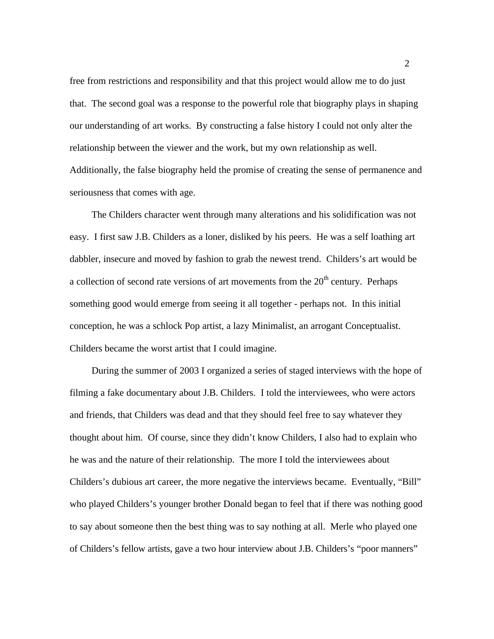free from restrictions and responsibility and that this project would allow me to do just that. The second goal was a response to the powerful role that biography plays in shaping our understanding of art works. By constructing a false history I could not only alter the relationship between the viewer and the work, but my own relationship as well. Additionally, the false biography held the promise of creating the sense of permanence and seriousness that comes with age.

The Childers character went through many alterations and his solidification was not easy. I first saw J.B. Childers as a loner, disliked by his peers. He was a self loathing art dabbler, insecure and moved by fashion to grab the newest trend. Childers's art would be a collection of second rate versions of art movements from the  $20<sup>th</sup>$  century. Perhaps something good would emerge from seeing it all together - perhaps not. In this initial conception, he was a schlock Pop artist, a lazy Minimalist, an arrogant Conceptualist. Childers became the worst artist that I could imagine.

During the summer of 2003 I organized a series of staged interviews with the hope of filming a fake documentary about J.B. Childers. I told the interviewees, who were actors and friends, that Childers was dead and that they should feel free to say whatever they thought about him. Of course, since they didn't know Childers, I also had to explain who he was and the nature of their relationship. The more I told the interviewees about Childers's dubious art career, the more negative the interviews became. Eventually, "Bill" who played Childers's younger brother Donald began to feel that if there was nothing good to say about someone then the best thing was to say nothing at all. Merle who played one of Childers's fellow artists, gave a two hour interview about J.B. Childers's "poor manners"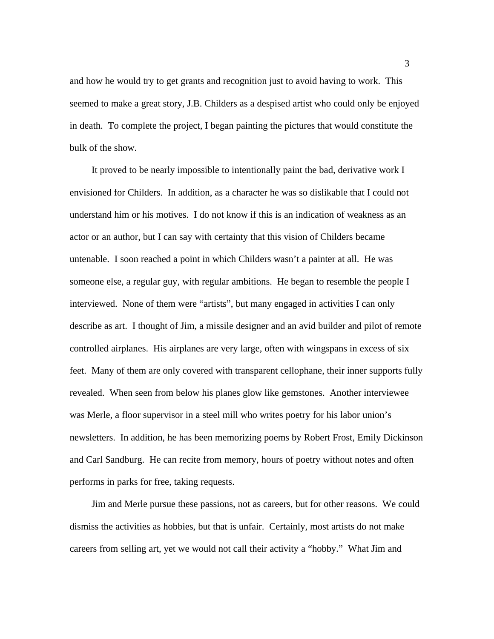and how he would try to get grants and recognition just to avoid having to work. This seemed to make a great story, J.B. Childers as a despised artist who could only be enjoyed in death. To complete the project, I began painting the pictures that would constitute the bulk of the show.

It proved to be nearly impossible to intentionally paint the bad, derivative work I envisioned for Childers. In addition, as a character he was so dislikable that I could not understand him or his motives. I do not know if this is an indication of weakness as an actor or an author, but I can say with certainty that this vision of Childers became untenable. I soon reached a point in which Childers wasn't a painter at all. He was someone else, a regular guy, with regular ambitions. He began to resemble the people I interviewed. None of them were "artists", but many engaged in activities I can only describe as art. I thought of Jim, a missile designer and an avid builder and pilot of remote controlled airplanes. His airplanes are very large, often with wingspans in excess of six feet. Many of them are only covered with transparent cellophane, their inner supports fully revealed. When seen from below his planes glow like gemstones. Another interviewee was Merle, a floor supervisor in a steel mill who writes poetry for his labor union's newsletters. In addition, he has been memorizing poems by Robert Frost, Emily Dickinson and Carl Sandburg. He can recite from memory, hours of poetry without notes and often performs in parks for free, taking requests.

Jim and Merle pursue these passions, not as careers, but for other reasons. We could dismiss the activities as hobbies, but that is unfair. Certainly, most artists do not make careers from selling art, yet we would not call their activity a "hobby." What Jim and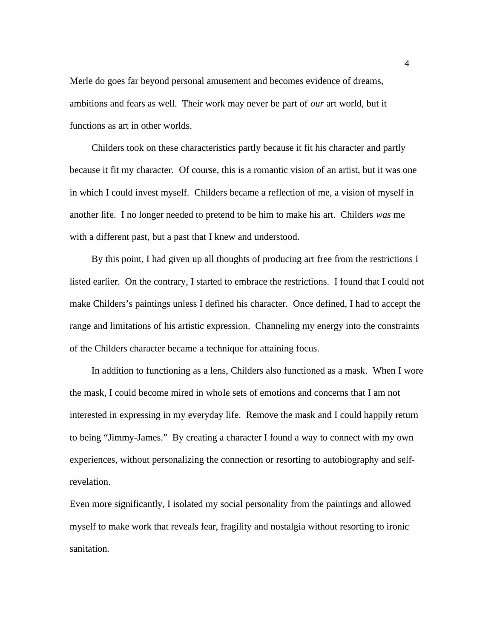Merle do goes far beyond personal amusement and becomes evidence of dreams, ambitions and fears as well. Their work may never be part of *our* art world, but it functions as art in other worlds.

Childers took on these characteristics partly because it fit his character and partly because it fit my character. Of course, this is a romantic vision of an artist, but it was one in which I could invest myself. Childers became a reflection of me, a vision of myself in another life. I no longer needed to pretend to be him to make his art. Childers *was* me with a different past, but a past that I knew and understood.

By this point, I had given up all thoughts of producing art free from the restrictions I listed earlier. On the contrary, I started to embrace the restrictions. I found that I could not make Childers's paintings unless I defined his character. Once defined, I had to accept the range and limitations of his artistic expression. Channeling my energy into the constraints of the Childers character became a technique for attaining focus.

In addition to functioning as a lens, Childers also functioned as a mask. When I wore the mask, I could become mired in whole sets of emotions and concerns that I am not interested in expressing in my everyday life. Remove the mask and I could happily return to being "Jimmy-James." By creating a character I found a way to connect with my own experiences, without personalizing the connection or resorting to autobiography and selfrevelation.

Even more significantly, I isolated my social personality from the paintings and allowed myself to make work that reveals fear, fragility and nostalgia without resorting to ironic sanitation.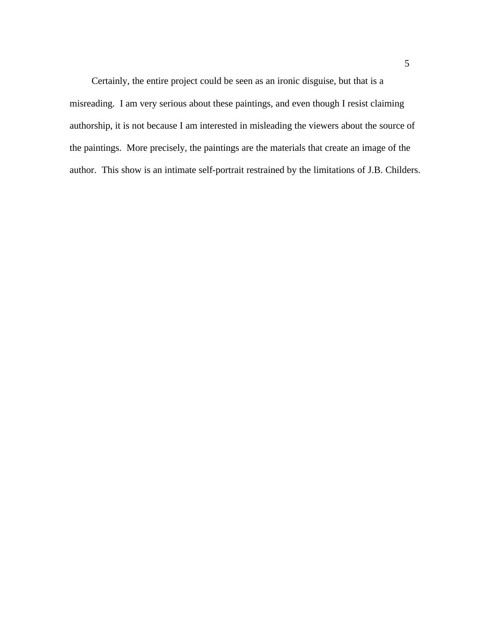Certainly, the entire project could be seen as an ironic disguise, but that is a misreading. I am very serious about these paintings, and even though I resist claiming authorship, it is not because I am interested in misleading the viewers about the source of the paintings. More precisely, the paintings are the materials that create an image of the author. This show is an intimate self-portrait restrained by the limitations of J.B. Childers.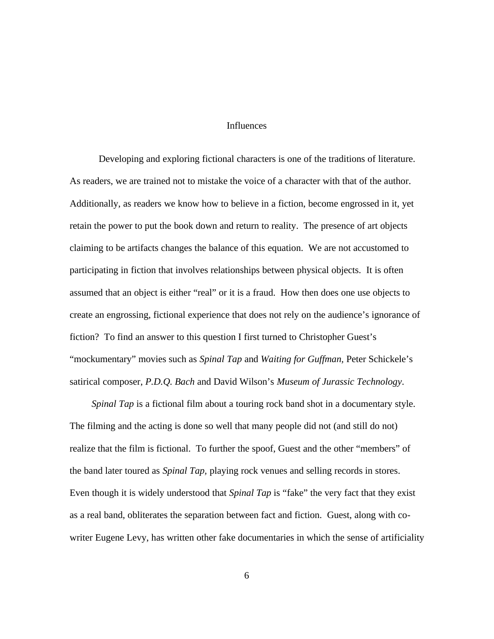#### **Influences**

Developing and exploring fictional characters is one of the traditions of literature. As readers, we are trained not to mistake the voice of a character with that of the author. Additionally, as readers we know how to believe in a fiction, become engrossed in it, yet retain the power to put the book down and return to reality. The presence of art objects claiming to be artifacts changes the balance of this equation. We are not accustomed to participating in fiction that involves relationships between physical objects. It is often assumed that an object is either "real" or it is a fraud. How then does one use objects to create an engrossing, fictional experience that does not rely on the audience's ignorance of fiction? To find an answer to this question I first turned to Christopher Guest's "mockumentary" movies such as *Spinal Tap* and *Waiting for Guffman,* Peter Schickele's satirical composer, *P.D.Q. Bach* and David Wilson's *Museum of Jurassic Technology*.

*Spinal Tap* is a fictional film about a touring rock band shot in a documentary style. The filming and the acting is done so well that many people did not (and still do not) realize that the film is fictional. To further the spoof, Guest and the other "members" of the band later toured as *Spinal Tap,* playing rock venues and selling records in stores. Even though it is widely understood that *Spinal Tap* is "fake" the very fact that they exist as a real band, obliterates the separation between fact and fiction. Guest, along with cowriter Eugene Levy, has written other fake documentaries in which the sense of artificiality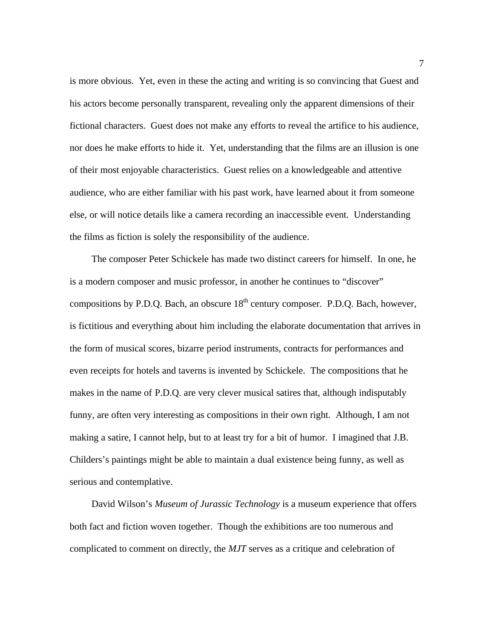is more obvious. Yet, even in these the acting and writing is so convincing that Guest and his actors become personally transparent, revealing only the apparent dimensions of their fictional characters. Guest does not make any efforts to reveal the artifice to his audience, nor does he make efforts to hide it. Yet, understanding that the films are an illusion is one of their most enjoyable characteristics. Guest relies on a knowledgeable and attentive audience, who are either familiar with his past work, have learned about it from someone else, or will notice details like a camera recording an inaccessible event. Understanding the films as fiction is solely the responsibility of the audience.

The composer Peter Schickele has made two distinct careers for himself. In one, he is a modern composer and music professor, in another he continues to "discover" compositions by P.D.Q. Bach, an obscure  $18<sup>th</sup>$  century composer. P.D.Q. Bach, however, is fictitious and everything about him including the elaborate documentation that arrives in the form of musical scores, bizarre period instruments, contracts for performances and even receipts for hotels and taverns is invented by Schickele. The compositions that he makes in the name of P.D.Q. are very clever musical satires that, although indisputably funny, are often very interesting as compositions in their own right. Although, I am not making a satire, I cannot help, but to at least try for a bit of humor. I imagined that J.B. Childers's paintings might be able to maintain a dual existence being funny, as well as serious and contemplative.

David Wilson's *Museum of Jurassic Technology* is a museum experience that offers both fact and fiction woven together. Though the exhibitions are too numerous and complicated to comment on directly, the *MJT* serves as a critique and celebration of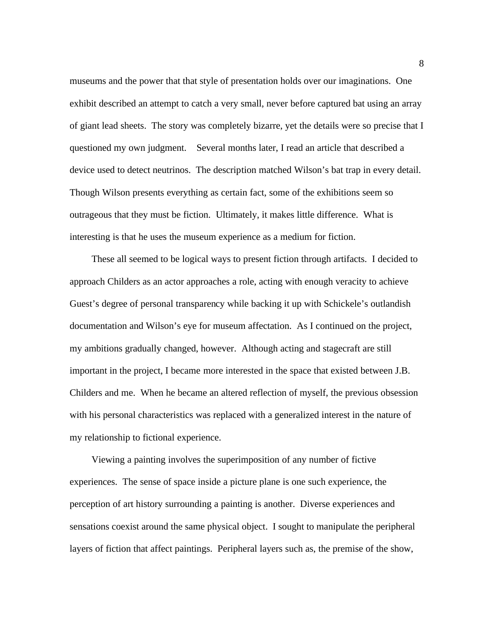museums and the power that that style of presentation holds over our imaginations. One exhibit described an attempt to catch a very small, never before captured bat using an array of giant lead sheets. The story was completely bizarre, yet the details were so precise that I questioned my own judgment. Several months later, I read an article that described a device used to detect neutrinos. The description matched Wilson's bat trap in every detail. Though Wilson presents everything as certain fact, some of the exhibitions seem so outrageous that they must be fiction. Ultimately, it makes little difference. What is interesting is that he uses the museum experience as a medium for fiction.

These all seemed to be logical ways to present fiction through artifacts. I decided to approach Childers as an actor approaches a role, acting with enough veracity to achieve Guest's degree of personal transparency while backing it up with Schickele's outlandish documentation and Wilson's eye for museum affectation. As I continued on the project, my ambitions gradually changed, however. Although acting and stagecraft are still important in the project, I became more interested in the space that existed between J.B. Childers and me. When he became an altered reflection of myself, the previous obsession with his personal characteristics was replaced with a generalized interest in the nature of my relationship to fictional experience.

Viewing a painting involves the superimposition of any number of fictive experiences. The sense of space inside a picture plane is one such experience, the perception of art history surrounding a painting is another. Diverse experiences and sensations coexist around the same physical object. I sought to manipulate the peripheral layers of fiction that affect paintings. Peripheral layers such as, the premise of the show,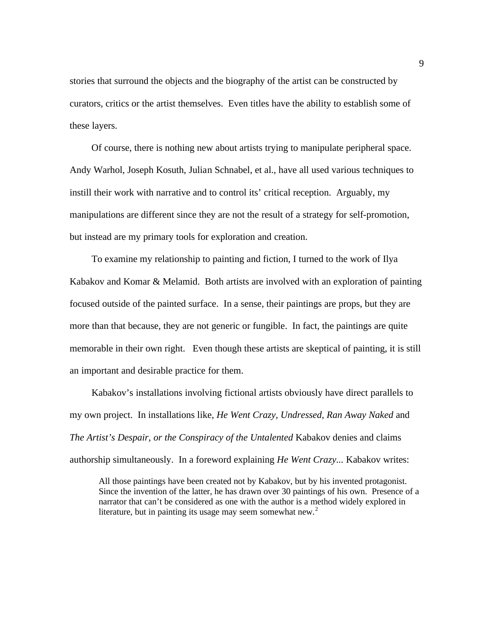stories that surround the objects and the biography of the artist can be constructed by curators, critics or the artist themselves. Even titles have the ability to establish some of these layers.

Of course, there is nothing new about artists trying to manipulate peripheral space. Andy Warhol, Joseph Kosuth, Julian Schnabel, et al., have all used various techniques to instill their work with narrative and to control its' critical reception. Arguably, my manipulations are different since they are not the result of a strategy for self-promotion, but instead are my primary tools for exploration and creation.

To examine my relationship to painting and fiction, I turned to the work of Ilya Kabakov and Komar & Melamid. Both artists are involved with an exploration of painting focused outside of the painted surface. In a sense, their paintings are props, but they are more than that because, they are not generic or fungible. In fact, the paintings are quite memorable in their own right. Even though these artists are skeptical of painting, it is still an important and desirable practice for them.

Kabakov's installations involving fictional artists obviously have direct parallels to my own project. In installations like, *He Went Crazy, Undressed, Ran Away Naked* and *The Artist's Despair, or the Conspiracy of the Untalented* Kabakov denies and claims authorship simultaneously. In a foreword explaining *He Went Crazy...* Kabakov writes:

All those paintings have been created not by Kabakov, but by his invented protagonist. Since the invention of the latter, he has drawn over 30 paintings of his own. Presence of a narrator that can't be considered as one with the author is a method widely explored in literature, but in painting its usage may seem somewhat new. $2$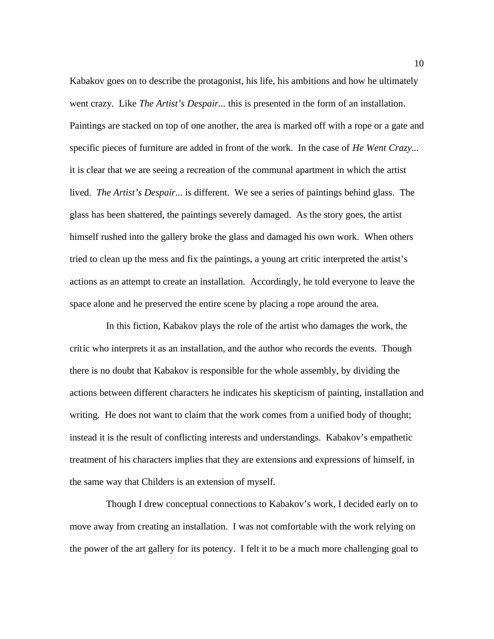Kabakov goes on to describe the protagonist, his life, his ambitions and how he ultimately went crazy. Like *The Artist's Despair...* this is presented in the form of an installation. Paintings are stacked on top of one another, the area is marked off with a rope or a gate and specific pieces of furniture are added in front of the work. In the case of *He Went Crazy...* it is clear that we are seeing a recreation of the communal apartment in which the artist lived. *The Artist's Despair...* is different. We see a series of paintings behind glass. The glass has been shattered, the paintings severely damaged. As the story goes, the artist himself rushed into the gallery broke the glass and damaged his own work. When others tried to clean up the mess and fix the paintings, a young art critic interpreted the artist's actions as an attempt to create an installation. Accordingly, he told everyone to leave the space alone and he preserved the entire scene by placing a rope around the area.

In this fiction, Kabakov plays the role of the artist who damages the work, the critic who interprets it as an installation, and the author who records the events. Though there is no doubt that Kabakov is responsible for the whole assembly, by dividing the actions between different characters he indicates his skepticism of painting, installation and writing. He does not want to claim that the work comes from a unified body of thought; instead it is the result of conflicting interests and understandings. Kabakov's empathetic treatment of his characters implies that they are extensions and expressions of himself, in the same way that Childers is an extension of myself.

Though I drew conceptual connections to Kabakov's work, I decided early on to move away from creating an installation. I was not comfortable with the work relying on the power of the art gallery for its potency. I felt it to be a much more challenging goal to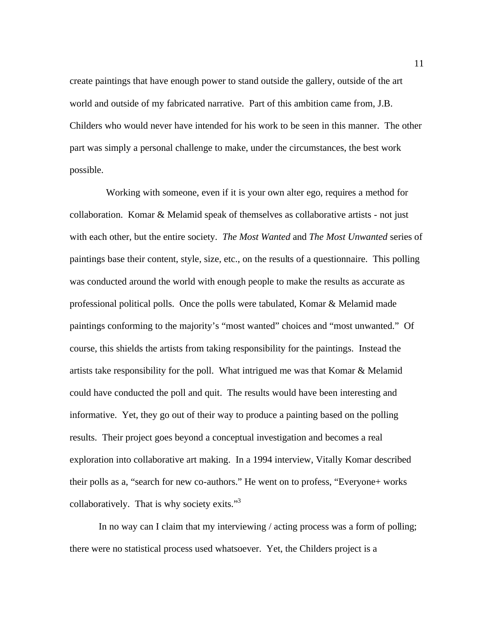create paintings that have enough power to stand outside the gallery, outside of the art world and outside of my fabricated narrative. Part of this ambition came from, J.B. Childers who would never have intended for his work to be seen in this manner. The other part was simply a personal challenge to make, under the circumstances, the best work possible.

Working with someone, even if it is your own alter ego, requires a method for collaboration. Komar & Melamid speak of themselves as collaborative artists - not just with each other, but the entire society. *The Most Wanted* and *The Most Unwanted* series of paintings base their content, style, size, etc., on the results of a questionnaire. This polling was conducted around the world with enough people to make the results as accurate as professional political polls. Once the polls were tabulated, Komar & Melamid made paintings conforming to the majority's "most wanted" choices and "most unwanted." Of course, this shields the artists from taking responsibility for the paintings. Instead the artists take responsibility for the poll. What intrigued me was that Komar & Melamid could have conducted the poll and quit. The results would have been interesting and informative. Yet, they go out of their way to produce a painting based on the polling results. Their project goes beyond a conceptual investigation and becomes a real exploration into collaborative art making. In a 1994 interview, Vitally Komar described their polls as a, "search for new co-authors." He went on to profess, "Everyone+ works collaboratively. That is why society exits."<sup>3</sup>

In no way can I claim that my interviewing / acting process was a form of polling; there were no statistical process used whatsoever. Yet, the Childers project is a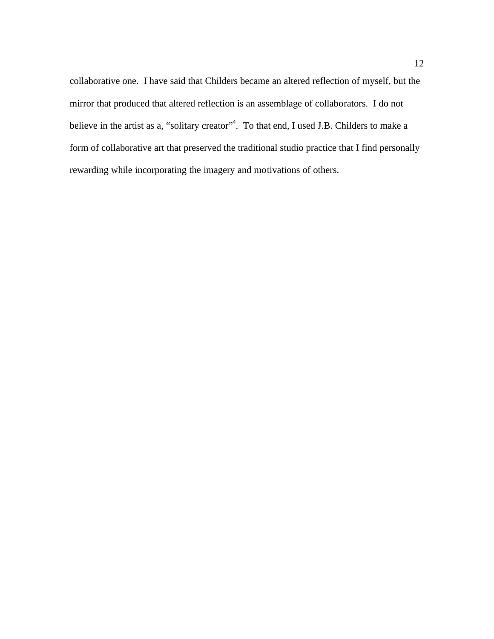collaborative one. I have said that Childers became an altered reflection of myself, but the mirror that produced that altered reflection is an assemblage of collaborators. I do not believe in the artist as a, "solitary creator"<sup>4</sup>. To that end, I used J.B. Childers to make a form of collaborative art that preserved the traditional studio practice that I find personally rewarding while incorporating the imagery and motivations of others.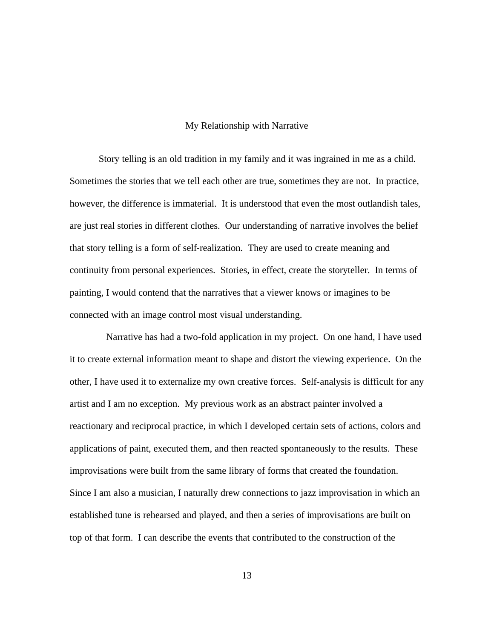#### My Relationship with Narrative

Story telling is an old tradition in my family and it was ingrained in me as a child. Sometimes the stories that we tell each other are true, sometimes they are not. In practice, however, the difference is immaterial. It is understood that even the most outlandish tales, are just real stories in different clothes. Our understanding of narrative involves the belief that story telling is a form of self-realization. They are used to create meaning and continuity from personal experiences. Stories, in effect, create the storyteller. In terms of painting, I would contend that the narratives that a viewer knows or imagines to be connected with an image control most visual understanding.

Narrative has had a two-fold application in my project. On one hand, I have used it to create external information meant to shape and distort the viewing experience. On the other, I have used it to externalize my own creative forces. Self-analysis is difficult for any artist and I am no exception. My previous work as an abstract painter involved a reactionary and reciprocal practice, in which I developed certain sets of actions, colors and applications of paint, executed them, and then reacted spontaneously to the results. These improvisations were built from the same library of forms that created the foundation. Since I am also a musician, I naturally drew connections to jazz improvisation in which an established tune is rehearsed and played, and then a series of improvisations are built on top of that form. I can describe the events that contributed to the construction of the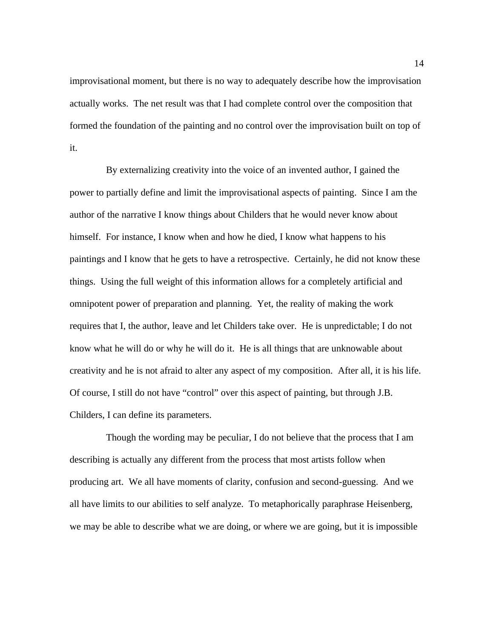improvisational moment, but there is no way to adequately describe how the improvisation actually works. The net result was that I had complete control over the composition that formed the foundation of the painting and no control over the improvisation built on top of it.

By externalizing creativity into the voice of an invented author, I gained the power to partially define and limit the improvisational aspects of painting. Since I am the author of the narrative I know things about Childers that he would never know about himself. For instance, I know when and how he died, I know what happens to his paintings and I know that he gets to have a retrospective. Certainly, he did not know these things. Using the full weight of this information allows for a completely artificial and omnipotent power of preparation and planning. Yet, the reality of making the work requires that I, the author, leave and let Childers take over. He is unpredictable; I do not know what he will do or why he will do it. He is all things that are unknowable about creativity and he is not afraid to alter any aspect of my composition. After all, it is his life. Of course, I still do not have "control" over this aspect of painting, but through J.B. Childers, I can define its parameters.

Though the wording may be peculiar, I do not believe that the process that I am describing is actually any different from the process that most artists follow when producing art. We all have moments of clarity, confusion and second-guessing. And we all have limits to our abilities to self analyze. To metaphorically paraphrase Heisenberg, we may be able to describe what we are doing, or where we are going, but it is impossible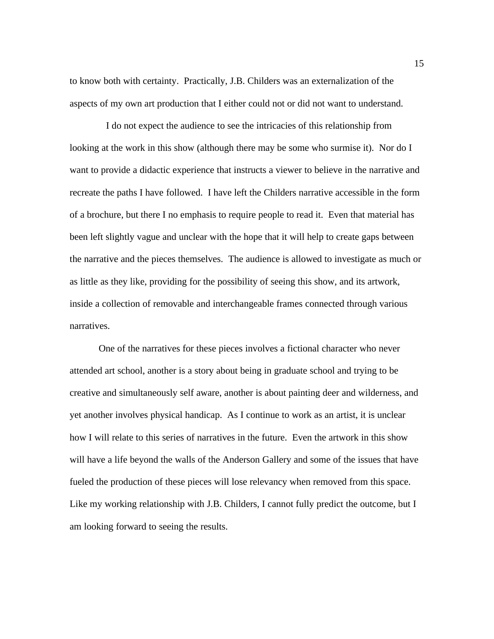to know both with certainty. Practically, J.B. Childers was an externalization of the aspects of my own art production that I either could not or did not want to understand.

I do not expect the audience to see the intricacies of this relationship from looking at the work in this show (although there may be some who surmise it). Nor do I want to provide a didactic experience that instructs a viewer to believe in the narrative and recreate the paths I have followed. I have left the Childers narrative accessible in the form of a brochure, but there I no emphasis to require people to read it. Even that material has been left slightly vague and unclear with the hope that it will help to create gaps between the narrative and the pieces themselves. The audience is allowed to investigate as much or as little as they like, providing for the possibility of seeing this show, and its artwork, inside a collection of removable and interchangeable frames connected through various narratives.

One of the narratives for these pieces involves a fictional character who never attended art school, another is a story about being in graduate school and trying to be creative and simultaneously self aware, another is about painting deer and wilderness, and yet another involves physical handicap. As I continue to work as an artist, it is unclear how I will relate to this series of narratives in the future. Even the artwork in this show will have a life beyond the walls of the Anderson Gallery and some of the issues that have fueled the production of these pieces will lose relevancy when removed from this space. Like my working relationship with J.B. Childers, I cannot fully predict the outcome, but I am looking forward to seeing the results.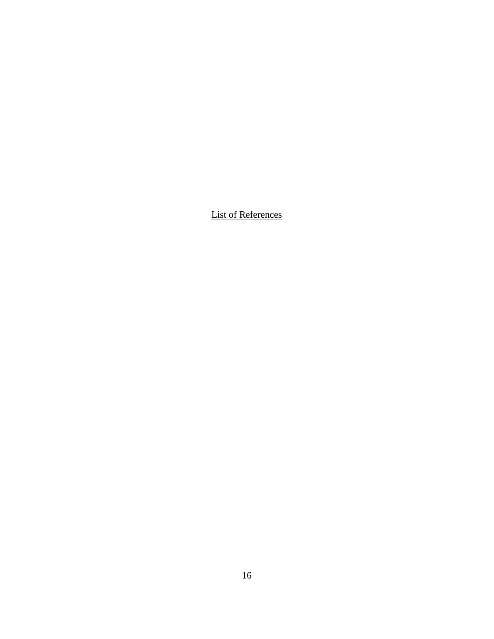List of References